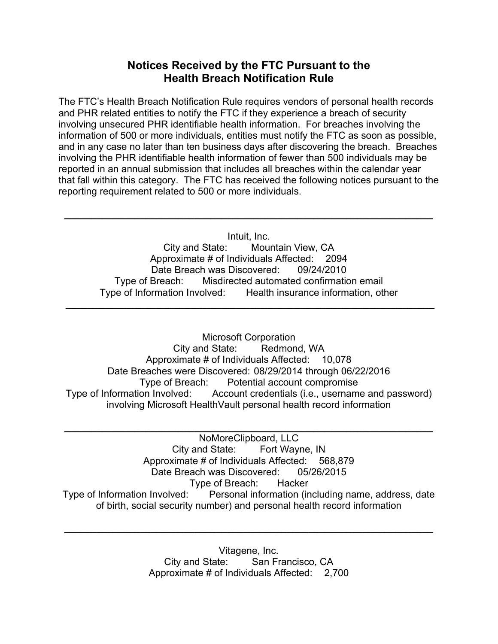## **Notices Received by the FTC Pursuant to the Health Breach Notification Rule**

The FTC's Health Breach Notification Rule requires vendors of personal health records and PHR related entities to notify the FTC if they experience a breach of security involving unsecured PHR identifiable health information. For breaches involving the information of 500 or more individuals, entities must notify the FTC as soon as possible, and in any case no later than ten business days after discovering the breach. Breaches involving the PHR identifiable health information of fewer than 500 individuals may be reported in an annual submission that includes all breaches within the calendar year that fall within this category. The FTC has received the following notices pursuant to the reporting requirement related to 500 or more individuals.

Intuit, Inc. City and State: Mountain View, CA Approximate # of Individuals Affected: 2094 Date Breach was Discovered: 09/24/2010 Type of Breach: Misdirected automated confirmation email Type of Information Involved: Health insurance information, other

**\_\_\_\_\_\_\_\_\_\_\_\_\_\_\_\_\_\_\_\_\_\_\_\_\_\_\_\_\_\_\_\_\_\_\_\_\_\_\_\_\_\_\_\_\_\_\_\_\_\_\_\_\_\_\_\_\_\_\_\_\_\_\_\_\_\_\_\_**

**\_\_\_\_\_\_\_\_\_\_\_\_\_\_\_\_\_\_\_\_\_\_\_\_\_\_\_\_\_\_\_\_\_\_\_\_\_\_\_\_\_\_\_\_\_\_\_\_\_\_\_\_\_\_\_\_\_\_\_\_\_\_\_\_\_\_\_\_** 

Microsoft Corporation City and State: Redmond, WA Approximate # of Individuals Affected: 10,078 Date Breaches were Discovered: 08/29/2014 through 06/22/2016 Type of Breach: Potential account compromise Type of Information Involved: Account credentials (i.e., username and password) involving Microsoft HealthVault personal health record information

NoMoreClipboard, LLC City and State: Fort Wayne, IN Approximate # of Individuals Affected: 568,879 Date Breach was Discovered: 05/26/2015 Type of Breach: Hacker Type of Information Involved: Personal information (including name, address, date of birth, social security number) and personal health record information

**\_\_\_\_\_\_\_\_\_\_\_\_\_\_\_\_\_\_\_\_\_\_\_\_\_\_\_\_\_\_\_\_\_\_\_\_\_\_\_\_\_\_\_\_\_\_\_\_\_\_\_\_\_\_\_\_\_\_\_\_\_\_\_\_\_\_\_\_** 

Vitagene, Inc. City and State: San Francisco, CA Approximate # of Individuals Affected: 2,700

**\_\_\_\_\_\_\_\_\_\_\_\_\_\_\_\_\_\_\_\_\_\_\_\_\_\_\_\_\_\_\_\_\_\_\_\_\_\_\_\_\_\_\_\_\_\_\_\_\_\_\_\_\_\_\_\_\_\_\_\_\_\_\_\_\_\_\_\_**